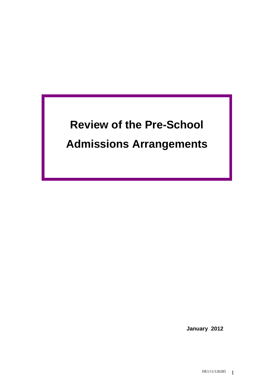# **Review of the Pre-School Admissions Arrangements**

 **January 2012**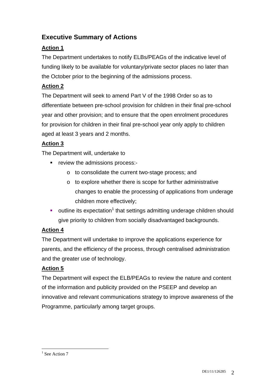# **Executive Summary of Actions**

# **Action 1**

The Department undertakes to notify ELBs/PEAGs of the indicative level of funding likely to be available for voluntary/private sector places no later than the October prior to the beginning of the admissions process.

# **Action 2**

The Department will seek to amend Part V of the 1998 Order so as to differentiate between pre-school provision for children in their final pre-school year and other provision; and to ensure that the open enrolment procedures for provision for children in their final pre-school year only apply to children aged at least 3 years and 2 months.

# **Action 3**

The Department will, undertake to

- review the admissions process:
	- o to consolidate the current two-stage process; and
	- o to explore whether there is scope for further administrative changes to enable the processing of applications from underage children more effectively;
- $\blacksquare$  outline its expectation<sup>1</sup> that settings admitting underage children should give priority to children from socially disadvantaged backgrounds.

# **Action 4**

The Department will undertake to improve the applications experience for parents, and the efficiency of the process, through centralised administration and the greater use of technology.

# **Action 5**

The Department will expect the ELB/PEAGs to review the nature and content of the information and publicity provided on the PSEEP and develop an innovative and relevant communications strategy to improve awareness of the Programme, particularly among target groups.

 $\frac{1}{1}$  See Action 7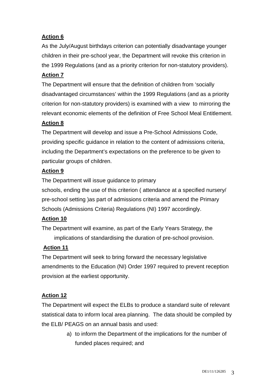# **Action 6**

As the July/August birthdays criterion can potentially disadvantage younger children in their pre-school year, the Department will revoke this criterion in the 1999 Regulations (and as a priority criterion for non-statutory providers).

# **Action 7**

The Department will ensure that the definition of children from 'socially disadvantaged circumstances' within the 1999 Regulations (and as a priority criterion for non-statutory providers) is examined with a view to mirroring the relevant economic elements of the definition of Free School Meal Entitlement.

## **Action 8**

The Department will develop and issue a Pre-School Admissions Code, providing specific guidance in relation to the content of admissions criteria, including the Department's expectations on the preference to be given to particular groups of children.

## **Action 9**

The Department will issue guidance to primary schools, ending the use of this criterion ( attendance at a specified nursery/ pre-school setting )as part of admissions criteria and amend the Primary

Schools (Admissions Criteria) Regulations (NI) 1997 accordingly.

# **Action 10**

The Department will examine, as part of the Early Years Strategy, the implications of standardising the duration of pre-school provision.

# **Action 11**

The Department will seek to bring forward the necessary legislative amendments to the Education (NI) Order 1997 required to prevent reception provision at the earliest opportunity.

# **Action 12**

The Department will expect the ELBs to produce a standard suite of relevant statistical data to inform local area planning. The data should be compiled by the ELB/ PEAGS on an annual basis and used:

> a) to inform the Department of the implications for the number of funded places required; and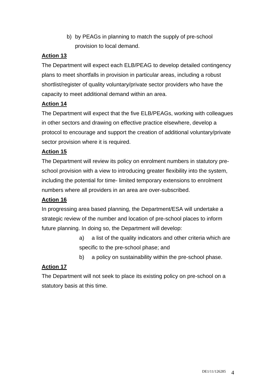b) by PEAGs in planning to match the supply of pre-school provision to local demand.

# **Action 13**

The Department will expect each ELB/PEAG to develop detailed contingency plans to meet shortfalls in provision in particular areas, including a robust shortlist/register of quality voluntary/private sector providers who have the capacity to meet additional demand within an area.

# **Action 14**

The Department will expect that the five ELB/PEAGs, working with colleagues in other sectors and drawing on effective practice elsewhere, develop a protocol to encourage and support the creation of additional voluntary/private sector provision where it is required.

# **Action 15**

The Department will review its policy on enrolment numbers in statutory preschool provision with a view to introducing greater flexibility into the system, including the potential for time- limited temporary extensions to enrolment numbers where all providers in an area are over-subscribed.

# **Action 16**

In progressing area based planning, the Department/ESA will undertake a strategic review of the number and location of pre-school places to inform future planning. In doing so, the Department will develop:

- a) a list of the quality indicators and other criteria which are specific to the pre-school phase; and
- b) a policy on sustainability within the pre-school phase.

# **Action 17**

The Department will not seek to place its existing policy on pre-school on a statutory basis at this time.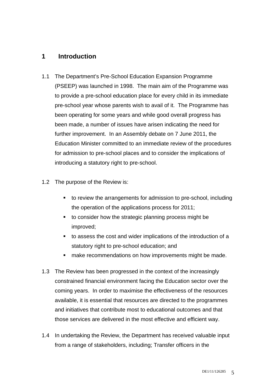# **1 Introduction**

- 1.1 The Department's Pre-School Education Expansion Programme (PSEEP) was launched in 1998. The main aim of the Programme was to provide a pre-school education place for every child in its immediate pre-school year whose parents wish to avail of it. The Programme has been operating for some years and while good overall progress has been made, a number of issues have arisen indicating the need for further improvement. In an Assembly debate on 7 June 2011, the Education Minister committed to an immediate review of the procedures for admission to pre-school places and to consider the implications of introducing a statutory right to pre-school.
- 1.2 The purpose of the Review is:
	- to review the arrangements for admission to pre-school, including the operation of the applications process for 2011;
	- to consider how the strategic planning process might be improved;
	- to assess the cost and wider implications of the introduction of a statutory right to pre-school education; and
	- **nake recommendations on how improvements might be made.**
- 1.3 The Review has been progressed in the context of the increasingly constrained financial environment facing the Education sector over the coming years. In order to maximise the effectiveness of the resources available, it is essential that resources are directed to the programmes and initiatives that contribute most to educational outcomes and that those services are delivered in the most effective and efficient way.
- 1.4 In undertaking the Review, the Department has received valuable input from a range of stakeholders, including; Transfer officers in the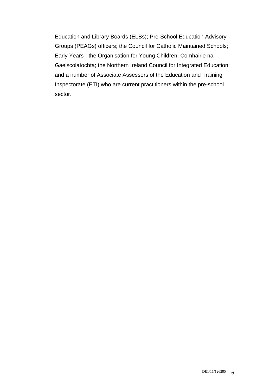Education and Library Boards (ELBs); Pre-School Education Advisory Groups (PEAGs) officers; the Council for Catholic Maintained Schools; Early Years - the Organisation for Young Children; Comhairle na Gaelscolaíochta; the Northern Ireland Council for Integrated Education; and a number of Associate Assessors of the Education and Training Inspectorate (ETI) who are current practitioners within the pre-school sector.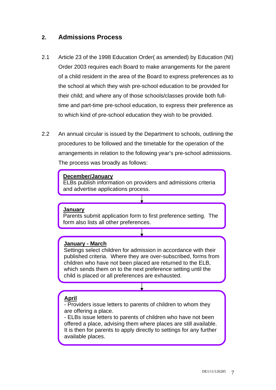# **2. Admissions Process**

- 2.1 Article 23 of the 1998 Education Order( as amended) by Education (NI) Order 2003 requires each Board to make arrangements for the parent of a child resident in the area of the Board to express preferences as to the school at which they wish pre-school education to be provided for their child; and where any of those schools/classes provide both fulltime and part-time pre-school education, to express their preference as to which kind of pre-school education they wish to be provided.
- 2.2 An annual circular is issued by the Department to schools, outlining the procedures to be followed and the timetable for the operation of the arrangements in relation to the following year's pre-school admissions. The process was broadly as follows:

#### **December/January**

ELBs publish information on providers and admissions criteria and advertise applications process.

#### **January**

Parents submit application form to first preference setting. The form also lists all other preferences.

#### **January - March**

Settings select children for admission in accordance with their published criteria. Where they are over-subscribed, forms from children who have not been placed are returned to the ELB, which sends them on to the next preference setting until the child is placed or all preferences are exhausted.

## **April**

- Providers issue letters to parents of children to whom they are offering a place.

- ELBs issue letters to parents of children who have not been offered a place, advising them where places are still available. It is then for parents to apply directly to settings for any further available places.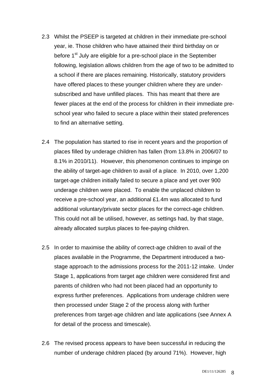- 2.3 Whilst the PSEEP is targeted at children in their immediate pre-school year, ie. Those children who have attained their third birthday on or before 1<sup>st</sup> July are eligible for a pre-school place in the September following, legislation allows children from the age of two to be admitted to a school if there are places remaining. Historically, statutory providers have offered places to these younger children where they are undersubscribed and have unfilled places. This has meant that there are fewer places at the end of the process for children in their immediate preschool year who failed to secure a place within their stated preferences to find an alternative setting.
- 2.4 The population has started to rise in recent years and the proportion of places filled by underage children has fallen (from 13.8% in 2006/07 to 8.1% in 2010/11). However, this phenomenon continues to impinge on the ability of target-age children to avail of a place. In 2010, over 1,200 target-age children initially failed to secure a place and yet over 900 underage children were placed. To enable the unplaced children to receive a pre-school year, an additional £1.4m was allocated to fund additional voluntary/private sector places for the correct-age children. This could not all be utilised, however, as settings had, by that stage, already allocated surplus places to fee-paying children.
- 2.5 In order to maximise the ability of correct-age children to avail of the places available in the Programme, the Department introduced a twostage approach to the admissions process for the 2011-12 intake. Under Stage 1, applications from target age children were considered first and parents of children who had not been placed had an opportunity to express further preferences. Applications from underage children were then processed under Stage 2 of the process along with further preferences from target-age children and late applications (see Annex A for detail of the process and timescale).
- 2.6 The revised process appears to have been successful in reducing the number of underage children placed (by around 71%). However, high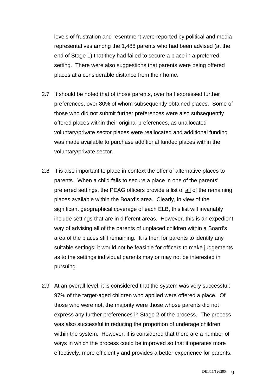levels of frustration and resentment were reported by political and media representatives among the 1,488 parents who had been advised (at the end of Stage 1) that they had failed to secure a place in a preferred setting. There were also suggestions that parents were being offered places at a considerable distance from their home.

- 2.7 It should be noted that of those parents, over half expressed further preferences, over 80% of whom subsequently obtained places. Some of those who did not submit further preferences were also subsequently offered places within their original preferences, as unallocated voluntary/private sector places were reallocated and additional funding was made available to purchase additional funded places within the voluntary/private sector.
- 2.8 It is also important to place in context the offer of alternative places to parents. When a child fails to secure a place in one of the parents' preferred settings, the PEAG officers provide a list of all of the remaining places available within the Board's area. Clearly, in view of the significant geographical coverage of each ELB, this list will invariably include settings that are in different areas. However, this is an expedient way of advising all of the parents of unplaced children within a Board's area of the places still remaining. It is then for parents to identify any suitable settings; it would not be feasible for officers to make judgements as to the settings individual parents may or may not be interested in pursuing.
- 2.9 At an overall level, it is considered that the system was very successful; 97% of the target-aged children who applied were offered a place. Of those who were not, the majority were those whose parents did not express any further preferences in Stage 2 of the process. The process was also successful in reducing the proportion of underage children within the system. However, it is considered that there are a number of ways in which the process could be improved so that it operates more effectively, more efficiently and provides a better experience for parents.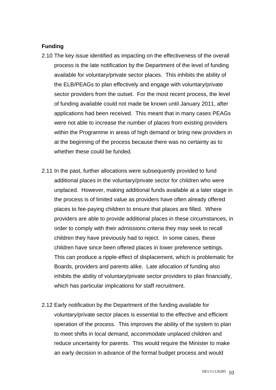#### **Funding**

- 2.10 The key issue identified as impacting on the effectiveness of the overall process is the late notification by the Department of the level of funding available for voluntary/private sector places. This inhibits the ability of the ELB/PEAGs to plan effectively and engage with voluntary/private sector providers from the outset. For the most recent process, the level of funding available could not made be known until January 2011, after applications had been received. This meant that in many cases PEAGs were not able to increase the number of places from existing providers within the Programme in areas of high demand or bring new providers in at the beginning of the process because there was no certainty as to whether these could be funded.
- 2.11 In the past, further allocations were subsequently provided to fund additional places in the voluntary/private sector for children who were unplaced. However, making additional funds available at a later stage in the process is of limited value as providers have often already offered places to fee-paying children to ensure that places are filled. Where providers are able to provide additional places in these circumstances, in order to comply with their admissions criteria they may seek to recall children they have previously had to reject. In some cases, these children have since been offered places in lower preference settings. This can produce a ripple-effect of displacement, which is problematic for Boards, providers and parents alike. Late allocation of funding also inhibits the ability of voluntary/private sector providers to plan financially, which has particular implications for staff recruitment.
- 2.12 Early notification by the Department of the funding available for voluntary/private sector places is essential to the effective and efficient operation of the process. This improves the ability of the system to plan to meet shifts in local demand, accommodate unplaced children and reduce uncertainty for parents. This would require the Minister to make an early decision in advance of the formal budget process and would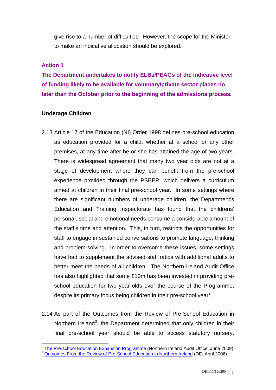give rise to a number of difficulties. However, the scope for the Minister to make an indicative allocation should be explored.

#### **Action 1**

**The Department undertakes to notify ELBs/PEAGs of the indicative level of funding likely to be available for voluntary/private sector places no later than the October prior to the beginning of the admissions process.** 

#### **Underage Children**

- 2.13 Article 17 of the Education (NI) Order 1998 defines pre-school education as education provided for a child, whether at a school or any other premises, at any time after he or she has attained the age of two years. There is widespread agreement that many two year olds are not at a stage of development where they can benefit from the pre-school experience provided through the PSEEP, which delivers a curriculum aimed at children in their final pre-school year. In some settings where there are significant numbers of underage children, the Department's Education and Training Inspectorate has found that the childrens' personal, social and emotional needs consume a considerable amount of the staff's time and attention. This, in turn, restricts the opportunities for staff to engage in sustained conversations to promote language, thinking and problem-solving. In order to overcome these issues, some settings have had to supplement the advised staff ratios with additional adults to better meet the needs of all children. The Northern Ireland Audit Office has also highlighted that some £10m has been invested in providing preschool education for two year olds over the course of the Programme, despite its primary focus being children in their pre-school year<sup>2</sup>.
- 2.14 As part of the Outcomes from the Review of Pre-School Education in Northern Ireland<sup>3</sup>, the Department determined that only children in their final pre-school year should be able to access statutory nursery.

<sup>&</sup>lt;sup>2</sup> The Pre-school Education Expansion Programme (Northern Ireland Audit Office, June 2009) <sup>3</sup> Outcomes From the Review of Pre-School Education in Northern Ireland (DE, April 2006)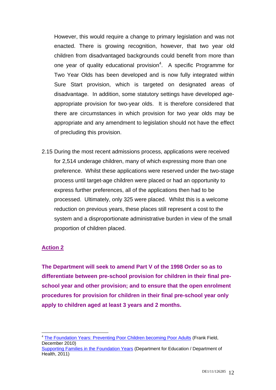However, this would require a change to primary legislation and was not enacted. There is growing recognition, however, that two year old children from disadvantaged backgrounds could benefit from more than one year of quality educational provision<sup>4</sup>. A specific Programme for Two Year Olds has been developed and is now fully integrated within Sure Start provision, which is targeted on designated areas of disadvantage. In addition, some statutory settings have developed ageappropriate provision for two-year olds. It is therefore considered that there are circumstances in which provision for two year olds may be appropriate and any amendment to legislation should not have the effect of precluding this provision.

2.15 During the most recent admissions process, applications were received for 2,514 underage children, many of which expressing more than one preference. Whilst these applications were reserved under the two-stage process until target-age children were placed or had an opportunity to express further preferences, all of the applications then had to be processed. Ultimately, only 325 were placed. Whilst this is a welcome reduction on previous years, these places still represent a cost to the system and a disproportionate administrative burden in view of the small proportion of children placed.

## **Action 2**

**The Department will seek to amend Part V of the 1998 Order so as to differentiate between pre-school provision for children in their final preschool year and other provision; and to ensure that the open enrolment procedures for provision for children in their final pre-school year only apply to children aged at least 3 years and 2 months.** 

<sup>1</sup> <sup>4</sup> The Foundation Years: Preventing Poor Children becoming Poor Adults (Frank Field, December 2010)

Supporting Families in the Foundation Years (Department for Education / Department of Health, 2011)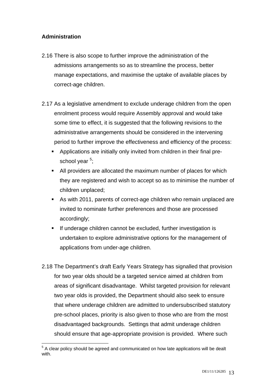# **Administration**

- 2.16 There is also scope to further improve the administration of the admissions arrangements so as to streamline the process, better manage expectations, and maximise the uptake of available places by correct-age children.
- 2.17 As a legislative amendment to exclude underage children from the open enrolment process would require Assembly approval and would take some time to effect, it is suggested that the following revisions to the administrative arrangements should be considered in the intervening period to further improve the effectiveness and efficiency of the process:
	- Applications are initially only invited from children in their final preschool year <sup>5</sup>;
	- All providers are allocated the maximum number of places for which they are registered and wish to accept so as to minimise the number of children unplaced;
	- As with 2011, parents of correct-age children who remain unplaced are invited to nominate further preferences and those are processed accordingly;
	- **If underage children cannot be excluded, further investigation is** undertaken to explore administrative options for the management of applications from under-age children.
- 2.18 The Department's draft Early Years Strategy has signalled that provision for two year olds should be a targeted service aimed at children from areas of significant disadvantage. Whilst targeted provision for relevant two year olds is provided, the Department should also seek to ensure that where underage children are admitted to undersubscribed statutory pre-school places, priority is also given to those who are from the most disadvantaged backgrounds. Settings that admit underage children should ensure that age-appropriate provision is provided. Where such

<sup>&</sup>lt;u>.</u>  $5$  A clear policy should be agreed and communicated on how late applications will be dealt with.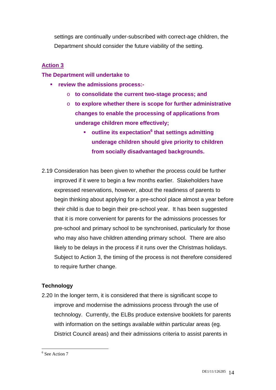settings are continually under-subscribed with correct-age children, the Department should consider the future viability of the setting.

## **Action 3**

#### **The Department will undertake to**

- **review the admissions process:** 
	- o **to consolidate the current two-stage process; and**
	- o **to explore whether there is scope for further administrative changes to enable the processing of applications from underage children more effectively;** 
		- **outline its expectation<sup>6</sup> that settings admitting underage children should give priority to children from socially disadvantaged backgrounds.**
- 2.19 Consideration has been given to whether the process could be further improved if it were to begin a few months earlier. Stakeholders have expressed reservations, however, about the readiness of parents to begin thinking about applying for a pre-school place almost a year before their child is due to begin their pre-school year. It has been suggested that it is more convenient for parents for the admissions processes for pre-school and primary school to be synchronised, particularly for those who may also have children attending primary school. There are also likely to be delays in the process if it runs over the Christmas holidays. Subject to Action 3, the timing of the process is not therefore considered to require further change.

## **Technology**

2.20 In the longer term, it is considered that there is significant scope to improve and modernise the admissions process through the use of technology. Currently, the ELBs produce extensive booklets for parents with information on the settings available within particular areas (eg. District Council areas) and their admissions criteria to assist parents in

<sup>&</sup>lt;sup>6</sup> See Action 7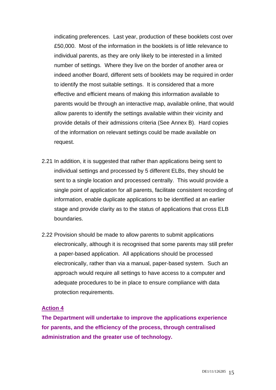indicating preferences. Last year, production of these booklets cost over £50,000. Most of the information in the booklets is of little relevance to individual parents, as they are only likely to be interested in a limited number of settings. Where they live on the border of another area or indeed another Board, different sets of booklets may be required in order to identify the most suitable settings. It is considered that a more effective and efficient means of making this information available to parents would be through an interactive map, available online, that would allow parents to identify the settings available within their vicinity and provide details of their admissions criteria (See Annex B). Hard copies of the information on relevant settings could be made available on request.

- 2.21 In addition, it is suggested that rather than applications being sent to individual settings and processed by 5 different ELBs, they should be sent to a single location and processed centrally. This would provide a single point of application for all parents, facilitate consistent recording of information, enable duplicate applications to be identified at an earlier stage and provide clarity as to the status of applications that cross ELB boundaries.
- 2.22 Provision should be made to allow parents to submit applications electronically, although it is recognised that some parents may still prefer a paper-based application. All applications should be processed electronically, rather than via a manual, paper-based system. Such an approach would require all settings to have access to a computer and adequate procedures to be in place to ensure compliance with data protection requirements.

#### **Action 4**

**The Department will undertake to improve the applications experience for parents, and the efficiency of the process, through centralised administration and the greater use of technology.**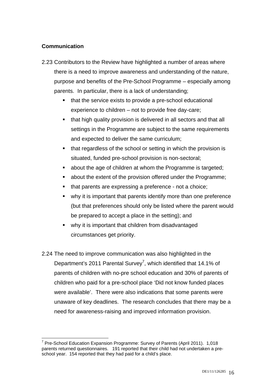#### **Communication**

- 2.23 Contributors to the Review have highlighted a number of areas where there is a need to improve awareness and understanding of the nature, purpose and benefits of the Pre-School Programme – especially among parents. In particular, there is a lack of understanding;
	- that the service exists to provide a pre-school educational experience to children – not to provide free day-care;
	- that high quality provision is delivered in all sectors and that all settings in the Programme are subject to the same requirements and expected to deliver the same curriculum;
	- that regardless of the school or setting in which the provision is situated, funded pre-school provision is non-sectoral;
	- about the age of children at whom the Programme is targeted;
	- about the extent of the provision offered under the Programme;
	- that parents are expressing a preference not a choice;
	- why it is important that parents identify more than one preference (but that preferences should only be listed where the parent would be prepared to accept a place in the setting); and
	- why it is important that children from disadvantaged circumstances get priority.
- 2.24 The need to improve communication was also highlighted in the Department's 2011 Parental Survey<sup>7</sup>, which identified that 14.1% of parents of children with no-pre school education and 30% of parents of children who paid for a pre-school place 'Did not know funded places were available'. There were also indications that some parents were unaware of key deadlines. The research concludes that there may be a need for awareness-raising and improved information provision.

<sup>1</sup> <sup>7</sup> Pre-School Education Expansion Programme: Survey of Parents (April 2011). 1,018 parents returned questionnaires. 191 reported that their child had not undertaken a preschool year. 154 reported that they had paid for a child's place.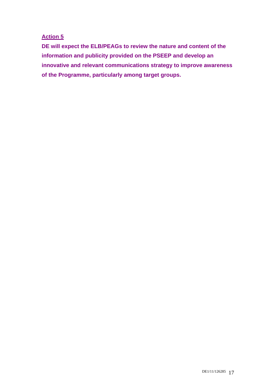## **Action 5**

**DE will expect the ELB/PEAGs to review the nature and content of the information and publicity provided on the PSEEP and develop an innovative and relevant communications strategy to improve awareness of the Programme, particularly among target groups.**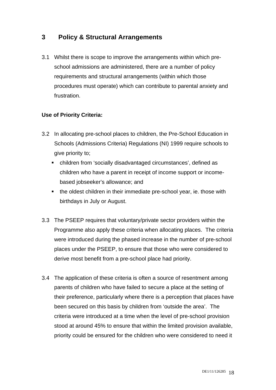# **3 Policy & Structural Arrangements**

3.1 Whilst there is scope to improve the arrangements within which preschool admissions are administered, there are a number of policy requirements and structural arrangements (within which those procedures must operate) which can contribute to parental anxiety and frustration.

## **Use of Priority Criteria:**

- 3.2 In allocating pre-school places to children, the Pre-School Education in Schools (Admissions Criteria) Regulations (NI) 1999 require schools to give priority to;
	- children from 'socially disadvantaged circumstances', defined as children who have a parent in receipt of income support or incomebased jobseeker's allowance; and
	- the oldest children in their immediate pre-school year, ie. those with birthdays in July or August.
- 3.3 The PSEEP requires that voluntary/private sector providers within the Programme also apply these criteria when allocating places. The criteria were introduced during the phased increase in the number of pre-school places under the PSEEP, to ensure that those who were considered to derive most benefit from a pre-school place had priority.
- 3.4 The application of these criteria is often a source of resentment among parents of children who have failed to secure a place at the setting of their preference, particularly where there is a perception that places have been secured on this basis by children from 'outside the area'. The criteria were introduced at a time when the level of pre-school provision stood at around 45% to ensure that within the limited provision available, priority could be ensured for the children who were considered to need it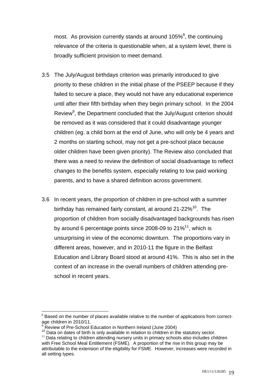most. As provision currently stands at around 105% $8$ , the continuing relevance of the criteria is questionable when, at a system level, there is broadly sufficient provision to meet demand.

- 3.5 The July/August birthdays criterion was primarily introduced to give priority to these children in the initial phase of the PSEEP because if they failed to secure a place, they would not have any educational experience until after their fifth birthday when they begin primary school. In the 2004 Review<sup>9</sup>, the Department concluded that the July/August criterion should be removed as it was considered that it could disadvantage younger children (eg. a child born at the end of June, who will only be 4 years and 2 months on starting school, may not get a pre-school place because older children have been given priority). The Review also concluded that there was a need to review the definition of social disadvantage to reflect changes to the benefits system, especially relating to low paid working parents, and to have a shared definition across government.
- 3.6 In recent years, the proportion of children in pre-school with a summer birthday has remained fairly constant, at around 21-22%<sup>10</sup>. The proportion of children from socially disadvantaged backgrounds has risen by around 6 percentage points since 2008-09 to  $21\%$ <sup>11</sup>, which is unsurprising in view of the economic downturn. The proportions vary in different areas, however, and in 2010-11 the figure in the Belfast Education and Library Board stood at around 41%. This is also set in the context of an increase in the overall numbers of children attending preschool in recent years.

<sup>1</sup>  $8$  Based on the number of places available relative to the number of applications from correctage children in 2010/11.<br><sup>9</sup> Review of Pre-School Education in Northern Ireland (June 2004)

<sup>9</sup>

<sup>&</sup>lt;sup>10</sup> Data on dates of birth is only available in relation to children in the statutory sector.<br><sup>11</sup> Data relating to children attending nursery units in primary schools also includes children

with Free School Meal Entitlement (FSME). A proportion of the rise in this group may be attributable to the extension of the eligibility for FSME. However, increases were recorded in all setting types.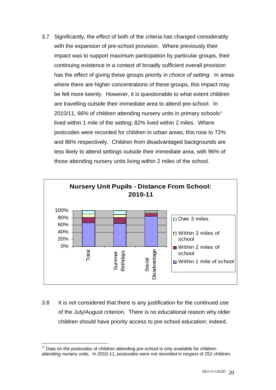3.7 Significantly, the *effect* of both of the criteria has changed considerably with the expansion of pre-school provision. Where previously their impact was to support maximum participation by particular groups, their continuing existence in a context of broadly sufficient overall provision has the effect of giving these groups priority in *choice of setting*. In areas where there are higher concentrations of these groups, this impact may be felt more keenly. However, it is questionable to what extent children are travelling outside their immediate area to attend pre-school. In  $2010/11$ , 66% of children attending nursery units in primary schools<sup>12</sup> lived within 1 mile of the setting; 82% lived within 2 miles. Where postcodes were recorded for children in urban areas, this rose to 72% and 86% respectively. Children from disadvantaged backgrounds are less likely to attend settings outside their immediate area, with 96% of those attending nursery units living within 2 miles of the school.



3.8 It is not considered that there is any justification for the continued use of the July/August criterion. There is no educational reason why older children should have priority access to pre-school education; indeed,

<sup>&</sup>lt;u>.</u>  $12$  Data on the postcodes of children attending pre-school is only available for children attending nursery units. In 2010-11, postcodes were not recorded in respect of 252 children.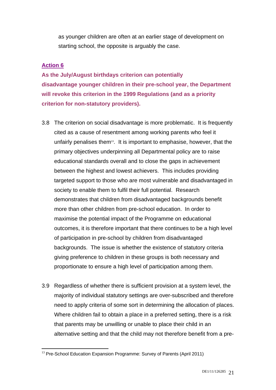as younger children are often at an earlier stage of development on starting school, the opposite is arguably the case.

## **Action 6**

**As the July/August birthdays criterion can potentially disadvantage younger children in their pre-school year, the Department will revoke this criterion in the 1999 Regulations (and as a priority criterion for non-statutory providers).** 

- 3.8 The criterion on social disadvantage is more problematic. It is frequently cited as a cause of resentment among working parents who feel it unfairly penalises them<sup>13</sup>. It is important to emphasise, however, that the primary objectives underpinning all Departmental policy are to raise educational standards overall and to close the gaps in achievement between the highest and lowest achievers. This includes providing targeted support to those who are most vulnerable and disadvantaged in society to enable them to fulfil their full potential. Research demonstrates that children from disadvantaged backgrounds benefit more than other children from pre-school education. In order to maximise the potential impact of the Programme on educational outcomes, it is therefore important that there continues to be a high level of participation in pre-school by children from disadvantaged backgrounds. The issue is whether the existence of statutory criteria giving preference to children in these groups is both necessary and proportionate to ensure a high level of participation among them.
- 3.9 Regardless of whether there is sufficient provision at a system level, the majority of individual statutory settings are over-subscribed and therefore need to apply criteria of some sort in determining the allocation of places. Where children fail to obtain a place in a preferred setting, there is a risk that parents may be unwilling or unable to place their child in an alternative setting and that the child may not therefore benefit from a pre-

<sup>1</sup>  $13$  Pre-School Education Expansion Programme: Survey of Parents (April 2011)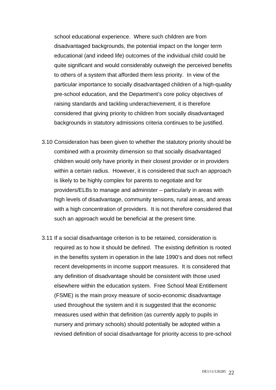school educational experience. Where such children are from disadvantaged backgrounds, the potential impact on the longer term educational (and indeed life) outcomes of the individual child could be quite significant and would considerably outweigh the perceived benefits to others of a system that afforded them less priority. In view of the particular importance to socially disadvantaged children of a high-quality pre-school education, and the Department's core policy objectives of raising standards and tackling underachievement, it is therefore considered that giving priority to children from socially disadvantaged backgrounds in statutory admissions criteria continues to be justified.

- 3.10 Consideration has been given to whether the statutory priority should be combined with a proximity dimension so that socially disadvantaged children would only have priority in their closest provider or in providers within a certain radius. However, it is considered that such an approach is likely to be highly complex for parents to negotiate and for providers/ELBs to manage and administer – particularly in areas with high levels of disadvantage, community tensions, rural areas, and areas with a high concentration of providers. It is not therefore considered that such an approach would be beneficial at the present time.
- 3.11 If a social disadvantage criterion is to be retained, consideration is required as to how it should be defined. The existing definition is rooted in the benefits system in operation in the late 1990's and does not reflect recent developments in income support measures. It is considered that any definition of disadvantage should be consistent with those used elsewhere within the education system. Free School Meal Entitlement (FSME) is the main proxy measure of socio-economic disadvantage used throughout the system and it is suggested that the economic measures used within that definition (as currently apply to pupils in nursery and primary schools) should potentially be adopted within a revised definition of social disadvantage for priority access to pre-school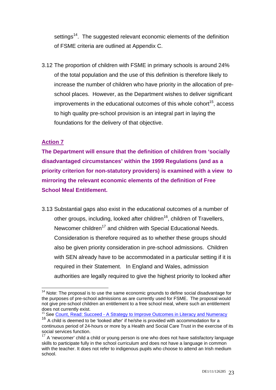settings<sup>14</sup>. The suggested relevant economic elements of the definition of FSME criteria are outlined at Appendix C.

3.12 The proportion of children with FSME in primary schools is around 24% of the total population and the use of this definition is therefore likely to increase the number of children who have priority in the allocation of preschool places. However, as the Department wishes to deliver significant improvements in the educational outcomes of this whole cohort<sup>15</sup>, access to high quality pre-school provision is an integral part in laying the foundations for the delivery of that objective.

## **Action 7**

 $\overline{a}$ 

**The Department will ensure that the definition of children from 'socially disadvantaged circumstances' within the 1999 Regulations (and as a priority criterion for non-statutory providers) is examined with a view to mirroring the relevant economic elements of the definition of Free School Meal Entitlement.** 

3.13 Substantial gaps also exist in the educational outcomes of a number of other groups, including, looked after children<sup>16</sup>, children of Travellers, Newcomer children<sup>17</sup> and children with Special Educational Needs. Consideration is therefore required as to whether these groups should also be given priority consideration in pre-school admissions. Children with SEN already have to be accommodated in a particular setting if it is required in their Statement. In England and Wales, admission authorities are legally required to give the highest priority to looked after

 $14$  Note: The proposal is to use the same economic grounds to define social disadvantage for the purposes of pre-school admissions as are currently used for FSME. The proposal would not give pre-school children an entitlement to a free school meal, where such an entitlement does not currently exist.<br><sup>15</sup> See Count, Read: Succeed - A Strategy to Improve Outcomes in Literacy and Numeracy

 $16$  A child is deemed to be 'looked after' if he/she is provided with accommodation for a continuous period of 24-hours or more by a Health and Social Care Trust in the exercise of its social services function.

 $17$  A 'newcomer' child a child or young person is one who does not have satisfactory language skills to participate fully in the school curriculum and does not have a language in common with the teacher. It does not refer to indigenous pupils who choose to attend an Irish medium school.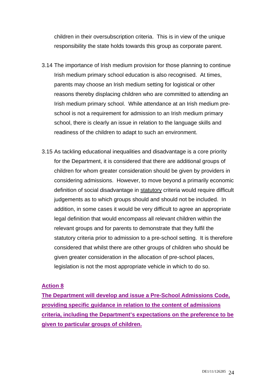children in their oversubscription criteria. This is in view of the unique responsibility the state holds towards this group as corporate parent.

- 3.14 The importance of Irish medium provision for those planning to continue Irish medium primary school education is also recognised. At times, parents may choose an Irish medium setting for logistical or other reasons thereby displacing children who are committed to attending an Irish medium primary school. While attendance at an Irish medium preschool is not a requirement for admission to an Irish medium primary school, there is clearly an issue in relation to the language skills and readiness of the children to adapt to such an environment.
- 3.15 As tackling educational inequalities and disadvantage is a core priority for the Department, it is considered that there are additional groups of children for whom greater consideration should be given by providers in considering admissions. However, to move beyond a primarily economic definition of social disadvantage in statutory criteria would require difficult judgements as to which groups should and should not be included. In addition, in some cases it would be very difficult to agree an appropriate legal definition that would encompass all relevant children within the relevant groups and for parents to demonstrate that they fulfil the statutory criteria prior to admission to a pre-school setting. It is therefore considered that whilst there are other groups of children who should be given greater consideration in the allocation of pre-school places, legislation is not the most appropriate vehicle in which to do so.

#### **Action 8**

**The Department will develop and issue a Pre-School Admissions Code, providing specific guidance in relation to the content of admissions criteria, including the Department's expectations on the preference to be given to particular groups of children.**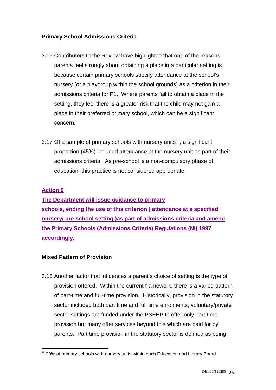## **Primary School Admissions Criteria**

- 3.16 Contributors to the Review have highlighted that one of the reasons parents feel strongly about obtaining a place in a particular setting is because certain primary schools specify attendance at the school's nursery (or a playgroup within the school grounds) as a criterion in their admissions criteria for P1. Where parents fail to obtain a place in the setting, they feel there is a greater risk that the child may not gain a place in their preferred primary school, which can be a significant concern.
- 3.17 Of a sample of primary schools with nursery units<sup>18</sup>, a significant proportion (45%) included attendance at the nursery unit as part of their admissions criteria. As pre-school is a non-compulsory phase of education, this practice is not considered appropriate.

## **Action 9**

**The Department will issue guidance to primary schools, ending the use of this criterion ( attendance at a specified nursery/ pre-school setting )as part of admissions criteria and amend the Primary Schools (Admissions Criteria) Regulations (NI) 1997 accordingly.** 

## **Mixed Pattern of Provision**

3.18 Another factor that influences a parent's choice of setting is the type of provision offered. Within the current framework, there is a varied pattern of part-time and full-time provision. Historically, provision in the statutory sector included both part time and full time enrolments; voluntary/private sector settings are funded under the PSEEP to offer only part-time provision but many offer services beyond this which are paid for by parents. Part time provision in the statutory sector is defined as being

<sup>1</sup>  $18$  20% of primary schools with nursery units within each Education and Library Board.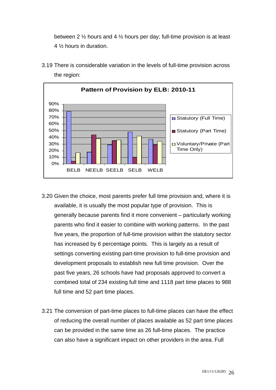between 2 ½ hours and 4 ½ hours per day; full-time provision is at least 4 ½ hours in duration.



3.19 There is considerable variation in the levels of full-time provision across the region:

- 3.20 Given the choice, most parents prefer full time provision and, where it is available, it is usually the most popular type of provision. This is generally because parents find it more convenient – particularly working parents who find it easier to combine with working patterns. In the past five years, the proportion of full-time provision within the statutory sector has increased by 6 percentage points. This is largely as a result of settings converting existing part-time provision to full-time provision and development proposals to establish new full time provision. Over the past five years, 26 schools have had proposals approved to convert a combined total of 234 existing full time and 1118 part time places to 988 full time and 52 part time places.
- 3.21 The conversion of part-time places to full-time places can have the effect of reducing the overall number of places available as 52 part time places can be provided in the same time as 26 full-time places. The practice can also have a significant impact on other providers in the area. Full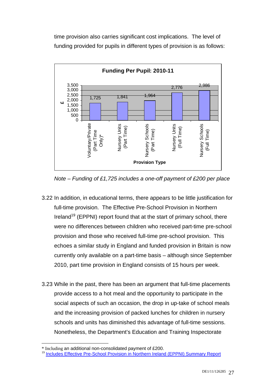time provision also carries significant cost implications. The level of funding provided for pupils in different types of provision is as follows:



*Note – Funding of £1,725 includes a one-off payment of £200 per place* 

- 3.22 In addition, in educational terms, there appears to be little justification for full-time provision. The Effective Pre-School Provision in Northern Ireland<sup>19</sup> (EPPNI) report found that at the start of primary school, there were no differences between children who received part-time pre-school provision and those who received full-time pre-school provision. This echoes a similar study in England and funded provision in Britain is now currently only available on a part-time basis – although since September 2010, part time provision in England consists of 15 hours per week.
- 3.23 While in the past, there has been an argument that full-time placements provide access to a hot meal and the opportunity to participate in the social aspects of such an occasion, the drop in up-take of school meals and the increasing provision of packed lunches for children in nursery schools and units has diminished this advantage of full-time sessions. Nonetheless, the Department's Education and Training Inspectorate

<sup>1</sup> \* Including an additional non-consolidated payment of £200.

<sup>&</sup>lt;sup>19</sup> Includes Effective Pre-School Provision in Northern Ireland (EPPNI) Summary Report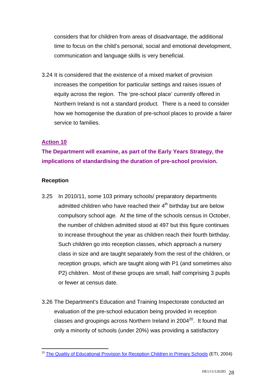considers that for children from areas of disadvantage, the additional time to focus on the child's personal, social and emotional development, communication and language skills is very beneficial.

3.24 It is considered that the existence of a mixed market of provision increases the competition for particular settings and raises issues of equity across the region. The 'pre-school place' currently offered in Northern Ireland is not a standard product. There is a need to consider how we homogenise the duration of pre-school places to provide a fairer service to families.

## **Action 10**

**The Department will examine, as part of the Early Years Strategy, the implications of standardising the duration of pre-school provision.** 

#### **Reception**

- 3.25 In 2010/11, some 103 primary schools/ preparatory departments admitted children who have reached their  $4<sup>th</sup>$  birthday but are below compulsory school age. At the time of the schools census in October, the number of children admitted stood at 497 but this figure continues to increase throughout the year as children reach their fourth birthday. Such children go into reception classes, which approach a nursery class in size and are taught separately from the rest of the children, or reception groups, which are taught along with P1 (and sometimes also P2) children. Most of these groups are small, half comprising 3 pupils or fewer at census date.
- 3.26 The Department's Education and Training Inspectorate conducted an evaluation of the pre-school education being provided in reception classes and groupings across Northern Ireland in  $2004^{20}$ . It found that only a minority of schools (under 20%) was providing a satisfactory

<sup>1</sup> <sup>20</sup> The Quality of Educational Provision for Reception Children in Primary Schools (ETI, 2004)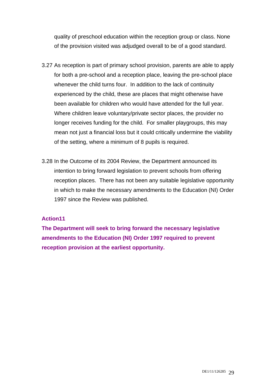quality of preschool education within the reception group or class. None of the provision visited was adjudged overall to be of a good standard.

- 3.27 As reception is part of primary school provision, parents are able to apply for both a pre-school and a reception place, leaving the pre-school place whenever the child turns four. In addition to the lack of continuity experienced by the child, these are places that might otherwise have been available for children who would have attended for the full year. Where children leave voluntary/private sector places, the provider no longer receives funding for the child. For smaller playgroups, this may mean not just a financial loss but it could critically undermine the viability of the setting, where a minimum of 8 pupils is required.
- 3.28 In the Outcome of its 2004 Review, the Department announced its intention to bring forward legislation to prevent schools from offering reception places. There has not been any suitable legislative opportunity in which to make the necessary amendments to the Education (NI) Order 1997 since the Review was published.

#### **Action11**

**The Department will seek to bring forward the necessary legislative amendments to the Education (NI) Order 1997 required to prevent reception provision at the earliest opportunity.**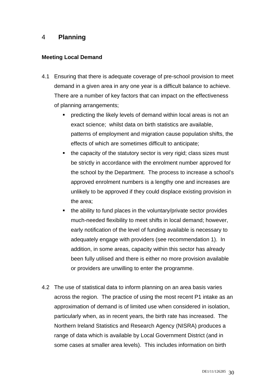# 4 **Planning**

#### **Meeting Local Demand**

- 4.1 Ensuring that there is adequate coverage of pre-school provision to meet demand in a given area in any one year is a difficult balance to achieve. There are a number of key factors that can impact on the effectiveness of planning arrangements;
	- **Permedicting the likely levels of demand within local areas is not an** exact science; whilst data on birth statistics are available, patterns of employment and migration cause population shifts, the effects of which are sometimes difficult to anticipate;
	- $\blacksquare$  the capacity of the statutory sector is very rigid; class sizes must be strictly in accordance with the enrolment number approved for the school by the Department. The process to increase a school's approved enrolment numbers is a lengthy one and increases are unlikely to be approved if they could displace existing provision in the area;
	- $\blacksquare$  the ability to fund places in the voluntary/private sector provides much-needed flexibility to meet shifts in local demand; however, early notification of the level of funding available is necessary to adequately engage with providers (see recommendation 1). In addition, in some areas, capacity within this sector has already been fully utilised and there is either no more provision available or providers are unwilling to enter the programme.
- 4.2 The use of statistical data to inform planning on an area basis varies across the region. The practice of using the most recent P1 intake as an approximation of demand is of limited use when considered in isolation, particularly when, as in recent years, the birth rate has increased. The Northern Ireland Statistics and Research Agency (NISRA) produces a range of data which is available by Local Government District (and in some cases at smaller area levels). This includes information on birth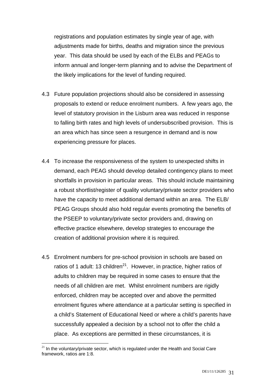registrations and population estimates by single year of age, with adjustments made for births, deaths and migration since the previous year. This data should be used by each of the ELBs and PEAGs to inform annual and longer-term planning and to advise the Department of the likely implications for the level of funding required.

- 4.3 Future population projections should also be considered in assessing proposals to extend or reduce enrolment numbers. A few years ago, the level of statutory provision in the Lisburn area was reduced in response to falling birth rates and high levels of undersubscribed provision. This is an area which has since seen a resurgence in demand and is now experiencing pressure for places.
- 4.4 To increase the responsiveness of the system to unexpected shifts in demand, each PEAG should develop detailed contingency plans to meet shortfalls in provision in particular areas. This should include maintaining a robust shortlist/register of quality voluntary/private sector providers who have the capacity to meet additional demand within an area. The ELB/ PEAG Groups should also hold regular events promoting the benefits of the PSEEP to voluntary/private sector providers and, drawing on effective practice elsewhere, develop strategies to encourage the creation of additional provision where it is required.
- 4.5 Enrolment numbers for pre-school provision in schools are based on ratios of 1 adult: 13 children<sup>21</sup>. However, in practice, higher ratios of adults to children may be required in some cases to ensure that the needs of all children are met. Whilst enrolment numbers are rigidly enforced, children may be accepted over and above the permitted enrolment figures where attendance at a particular setting is specified in a child's Statement of Educational Need or where a child's parents have successfully appealed a decision by a school not to offer the child a place. As exceptions are permitted in these circumstances, it is

<sup>&</sup>lt;u>.</u>  $21$  In the voluntary/private sector, which is regulated under the Health and Social Care framework, ratios are 1:8.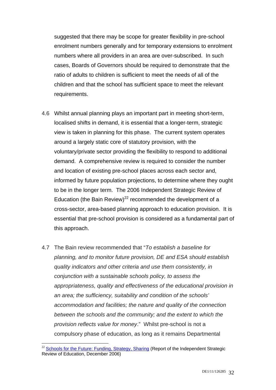suggested that there may be scope for greater flexibility in pre-school enrolment numbers generally and for temporary extensions to enrolment numbers where all providers in an area are over-subscribed. In such cases, Boards of Governors should be required to demonstrate that the ratio of adults to children is sufficient to meet the needs of all of the children and that the school has sufficient space to meet the relevant requirements.

- 4.6 Whilst annual planning plays an important part in meeting short-term, localised shifts in demand, it is essential that a longer-term, strategic view is taken in planning for this phase. The current system operates around a largely static core of statutory provision, with the voluntary/private sector providing the flexibility to respond to additional demand. A comprehensive review is required to consider the number and location of existing pre-school places across each sector and, informed by future population projections, to determine where they ought to be in the longer term. The 2006 Independent Strategic Review of Education (the Bain Review)<sup>22</sup> recommended the development of a cross-sector, area-based planning approach to education provision. It is essential that pre-school provision is considered as a fundamental part of this approach.
- 4.7 The Bain review recommended that "*To establish a baseline for planning, and to monitor future provision, DE and ESA should establish quality indicators and other criteria and use them consistently, in conjunction with a sustainable schools policy, to assess the appropriateness, quality and effectiveness of the educational provision in an area; the sufficiency, suitability and condition of the schools' accommodation and facilities; the nature and quality of the connection between the schools and the community; and the extent to which the provision reflects value for money*." Whilst pre-school is not a compulsory phase of education, as long as it remains Departmental

<u>.</u>

<sup>&</sup>lt;sup>22</sup> Schools for the Future: Funding, Strategy, Sharing (Report of the Independent Strategic Review of Education, December 2006)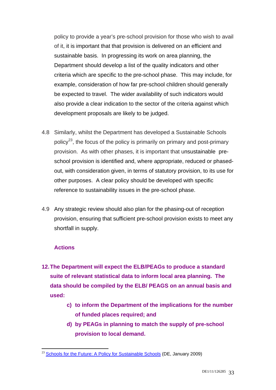policy to provide a year's pre-school provision for those who wish to avail of it, it is important that that provision is delivered on an efficient and sustainable basis. In progressing its work on area planning, the Department should develop a list of the quality indicators and other criteria which are specific to the pre-school phase. This may include, for example, consideration of how far pre-school children should generally be expected to travel. The wider availability of such indicators would also provide a clear indication to the sector of the criteria against which development proposals are likely to be judged.

- 4.8 Similarly, whilst the Department has developed a Sustainable Schools policy<sup>23</sup>, the focus of the policy is primarily on primary and post-primary provision. As with other phases, it is important that unsustainable preschool provision is identified and, where appropriate, reduced or phasedout, with consideration given, in terms of statutory provision, to its use for other purposes. A clear policy should be developed with specific reference to sustainability issues in the pre-school phase.
- 4.9 Any strategic review should also plan for the phasing-out of reception provision, ensuring that sufficient pre-school provision exists to meet any shortfall in supply.

#### **Actions**

1

- **12. The Department will expect the ELB/PEAGs to produce a standard suite of relevant statistical data to inform local area planning. The data should be compiled by the ELB/ PEAGS on an annual basis and used:** 
	- **c) to inform the Department of the implications for the number of funded places required; and**
	- **d) by PEAGs in planning to match the supply of pre-school provision to local demand.**

<sup>&</sup>lt;sup>23</sup> Schools for the Future: A Policy for Sustainable Schools (DE, January 2009)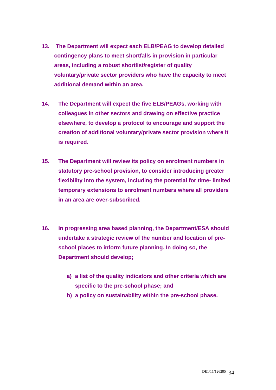- **13. The Department will expect each ELB/PEAG to develop detailed contingency plans to meet shortfalls in provision in particular areas, including a robust shortlist/register of quality voluntary/private sector providers who have the capacity to meet additional demand within an area.**
- **14. The Department will expect the five ELB/PEAGs, working with colleagues in other sectors and drawing on effective practice elsewhere, to develop a protocol to encourage and support the creation of additional voluntary/private sector provision where it is required.**
- **15. The Department will review its policy on enrolment numbers in statutory pre-school provision, to consider introducing greater flexibility into the system, including the potential for time- limited temporary extensions to enrolment numbers where all providers in an area are over-subscribed.**
- **16. In progressing area based planning, the Department/ESA should undertake a strategic review of the number and location of preschool places to inform future planning. In doing so, the Department should develop;** 
	- **a) a list of the quality indicators and other criteria which are specific to the pre-school phase; and**
	- **b) a policy on sustainability within the pre-school phase.**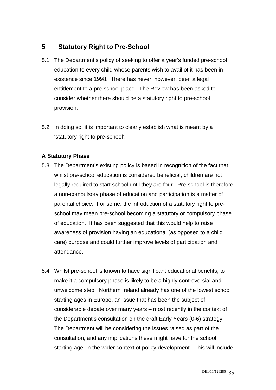# **5 Statutory Right to Pre-School**

- 5.1 The Department's policy of seeking to offer a year's funded pre-school education to every child whose parents wish to avail of it has been in existence since 1998. There has never, however, been a legal entitlement to a pre-school place. The Review has been asked to consider whether there should be a statutory right to pre-school provision.
- 5.2 In doing so, it is important to clearly establish what is meant by a 'statutory right to pre-school'.

## **A Statutory Phase**

- 5.3 The Department's existing policy is based in recognition of the fact that whilst pre-school education is considered beneficial, children are not legally required to start school until they are four. Pre-school is therefore a non-compulsory phase of education and participation is a matter of parental choice. For some, the introduction of a statutory right to preschool may mean pre-school becoming a statutory or compulsory phase of education. It has been suggested that this would help to raise awareness of provision having an educational (as opposed to a child care) purpose and could further improve levels of participation and attendance.
- 5.4 Whilst pre-school is known to have significant educational benefits, to make it a compulsory phase is likely to be a highly controversial and unwelcome step. Northern Ireland already has one of the lowest school starting ages in Europe, an issue that has been the subject of considerable debate over many years – most recently in the context of the Department's consultation on the draft Early Years (0-6) strategy. The Department will be considering the issues raised as part of the consultation, and any implications these might have for the school starting age, in the wider context of policy development. This will include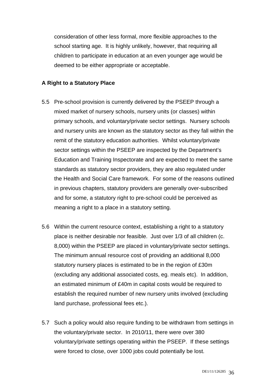consideration of other less formal, more flexible approaches to the school starting age. It is highly unlikely, however, that requiring all children to participate in education at an even younger age would be deemed to be either appropriate or acceptable.

#### **A Right to a Statutory Place**

- 5.5 Pre-school provision is currently delivered by the PSEEP through a mixed market of nursery schools, nursery units (or classes) within primary schools, and voluntary/private sector settings. Nursery schools and nursery units are known as the statutory sector as they fall within the remit of the statutory education authorities. Whilst voluntary/private sector settings within the PSEEP are inspected by the Department's Education and Training Inspectorate and are expected to meet the same standards as statutory sector providers, they are also regulated under the Health and Social Care framework. For some of the reasons outlined in previous chapters, statutory providers are generally over-subscribed and for some, a statutory right to pre-school could be perceived as meaning a right to a place in a statutory setting.
- 5.6 Within the current resource context, establishing a right to a statutory place is neither desirable nor feasible. Just over 1/3 of all children (c. 8,000) within the PSEEP are placed in voluntary/private sector settings. The minimum annual resource cost of providing an additional 8,000 statutory nursery places is estimated to be in the region of £30m (excluding any additional associated costs, eg. meals etc). In addition, an estimated minimum of £40m in capital costs would be required to establish the required number of new nursery units involved (excluding land purchase, professional fees etc.).
- 5.7 Such a policy would also require funding to be withdrawn from settings in the voluntary/private sector. In 2010/11, there were over 380 voluntary/private settings operating within the PSEEP. If these settings were forced to close, over 1000 jobs could potentially be lost.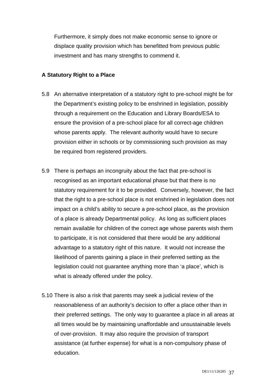Furthermore, it simply does not make economic sense to ignore or displace quality provision which has benefitted from previous public investment and has many strengths to commend it.

#### **A Statutory Right to a Place**

- 5.8 An alternative interpretation of a statutory right to pre-school might be for the Department's existing policy to be enshrined in legislation, possibly through a requirement on the Education and Library Boards/ESA to ensure the provision of a pre-school place for all correct-age children whose parents apply. The relevant authority would have to secure provision either in schools or by commissioning such provision as may be required from registered providers.
- 5.9 There is perhaps an incongruity about the fact that pre-school is recognised as an important educational phase but that there is no statutory requirement for it to be provided. Conversely, however, the fact that the right to a pre-school place is not enshrined in legislation does not impact on a child's ability to secure a pre-school place, as the provision of a place is already Departmental policy. As long as sufficient places remain available for children of the correct age whose parents wish them to participate, it is not considered that there would be any additional advantage to a statutory right of this nature. It would not increase the likelihood of parents gaining a place in their preferred setting as the legislation could not guarantee anything more than 'a place', which is what is already offered under the policy.
- 5.10 There is also a risk that parents may seek a judicial review of the reasonableness of an authority's decision to offer a place other than in their preferred settings. The only way to guarantee a place in all areas at all times would be by maintaining unaffordable and unsustainable levels of over-provision. It may also require the provision of transport assistance (at further expense) for what is a non-compulsory phase of education.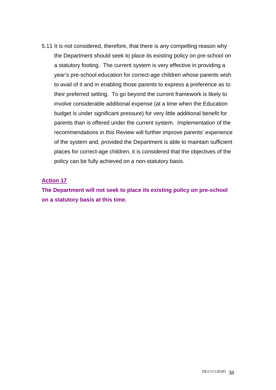5.11 It is not considered, therefore, that there is any compelling reason why the Department should seek to place its existing policy on pre-school on a statutory footing. The current system is very effective in providing a year's pre-school education for correct-age children whose parents wish to avail of it and in enabling those parents to express a preference as to their preferred setting. To go beyond the current framework is likely to involve considerable additional expense (at a time when the Education budget is under significant pressure) for very little additional benefit for parents than is offered under the current system. Implementation of the recommendations in this Review will further improve parents' experience of the system and, provided the Department is able to maintain sufficient places for correct-age children, it is considered that the objectives of the policy can be fully achieved on a non-statutory basis.

#### **Action 17**

**The Department will not seek to place its existing policy on pre-school on a statutory basis at this time.**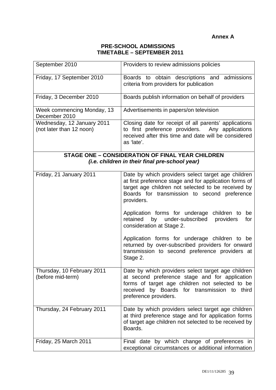#### **PRE-SCHOOL ADMISSIONS TIMETABLE – SEPTEMBER 2011**

| September 2010                                                                                            | Providers to review admissions policies                                                                                                                                                                                             |  |
|-----------------------------------------------------------------------------------------------------------|-------------------------------------------------------------------------------------------------------------------------------------------------------------------------------------------------------------------------------------|--|
| Friday, 17 September 2010                                                                                 | Boards to obtain descriptions and admissions<br>criteria from providers for publication                                                                                                                                             |  |
| Friday, 3 December 2010                                                                                   | Boards publish information on behalf of providers                                                                                                                                                                                   |  |
| Week commencing Monday, 13<br>December 2010                                                               | Advertisements in papers/on television                                                                                                                                                                                              |  |
| Wednesday, 12 January 2011<br>(not later than 12 noon)                                                    | Closing date for receipt of all parents' applications<br>to first preference providers. Any applications<br>received after this time and date will be considered<br>as 'late'.                                                      |  |
| <b>STAGE ONE - CONSIDERATION OF FINAL YEAR CHILDREN</b><br>(i.e. children in their final pre-school year) |                                                                                                                                                                                                                                     |  |
| Friday, 21 January 2011                                                                                   | Date by which providers select target age children<br>at first preference stage and for application forms of<br>target age children not selected to be received by<br>Boards for transmission to second preference<br>providers.    |  |
|                                                                                                           | Application forms for underage children to be<br>under-subscribed<br>retained<br>by<br>providers<br>for<br>consideration at Stage 2.                                                                                                |  |
|                                                                                                           | Application forms for underage children to be<br>returned by over-subscribed providers for onward<br>transmission to second preference providers at<br>Stage 2.                                                                     |  |
| Thursday, 10 February 2011<br>(before mid-term)                                                           | Date by which providers select target age children<br>at second preference stage and for application<br>forms of target age children not selected to be<br>received<br>by Boards for transmission to third<br>preference providers. |  |
| Thursday, 24 February 2011                                                                                | Date by which providers select target age children<br>at third preference stage and for application forms<br>of target age children not selected to be received by<br>Boards.                                                       |  |
| Friday, 25 March 2011                                                                                     | Final date by which change of preferences in<br>exceptional circumstances or additional information                                                                                                                                 |  |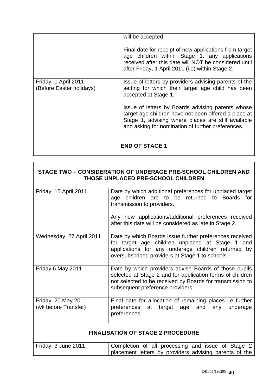|                                                  | will be accepted.<br>Final date for receipt of new applications from target<br>age children within Stage 1, any applications<br>received after this date will NOT be considered until<br>after Friday, 1 April 2011 (i.e) within Stage 2.                                                                                                                  |
|--------------------------------------------------|------------------------------------------------------------------------------------------------------------------------------------------------------------------------------------------------------------------------------------------------------------------------------------------------------------------------------------------------------------|
| Friday, 1 April 2011<br>(Before Easter holidays) | Issue of letters by providers advising parents of the<br>setting for which their target age child has been<br>accepted at Stage 1.<br>Issue of letters by Boards advising parents whose<br>target age children have not been offered a place at<br>Stage 1, advising where places are still available<br>and asking for nomination of further preferences. |
|                                                  |                                                                                                                                                                                                                                                                                                                                                            |

## **END OF STAGE 1**

#### **STAGE TWO – CONSIDERATION OF UNDERAGE PRE-SCHOOL CHILDREN AND THOSE UNPLACED PRE-SCHOOL CHILDREN**

| Friday, 15 April 2011                       | Date by which additional preferences for unplaced target<br>age children are to be returned to Boards for<br>transmission to providers.<br>Any new applications/additional preferences received<br>after this date will be considered as late in Stage 2. |
|---------------------------------------------|-----------------------------------------------------------------------------------------------------------------------------------------------------------------------------------------------------------------------------------------------------------|
| Wednesday, 27 April 2011                    | Date by which Boards issue further preferences received<br>for target age children unplaced at Stage 1 and<br>applications for any underage children returned by<br>oversubscribed providers at Stage 1 to schools.                                       |
| Friday 6 May 2011                           | Date by which providers advise Boards of those pupils<br>selected at Stage 2 and for application forms of children<br>not selected to be received by Boards for transmission to<br>subsequent preference providers.                                       |
| Friday, 20 May 2011<br>(wk before Transfer) | Final date for allocation of remaining places i.e further<br>preferences<br>at target age and<br>underage<br>any<br>preferences.                                                                                                                          |
| <b>FINALISATION OF STAGE 2 PROCEDURE</b>    |                                                                                                                                                                                                                                                           |

# Friday, 3 June 2011 Completion of all processing and issue of Stage 2 placement letters by providers advising parents of the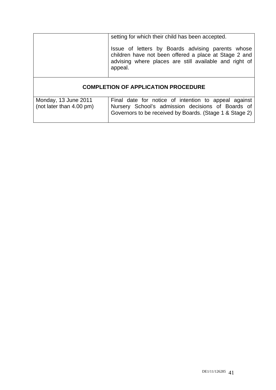|                                                  | setting for which their child has been accepted.<br>Issue of letters by Boards advising parents whose<br>children have not been offered a place at Stage 2 and<br>advising where places are still available and right of<br>appeal. |  |
|--------------------------------------------------|-------------------------------------------------------------------------------------------------------------------------------------------------------------------------------------------------------------------------------------|--|
| <b>COMPLETION OF APPLICATION PROCEDURE</b>       |                                                                                                                                                                                                                                     |  |
| Monday, 13 June 2011<br>(not later than 4.00 pm) | Final date for notice of intention to appeal against<br>Nursery School's admission decisions of Boards of<br>Governors to be received by Boards. (Stage 1 & Stage 2)                                                                |  |

Governors to be received by Boards. (Stage 1 & Stage 2)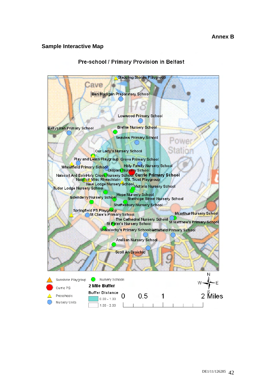#### **Sample Interactive Map**



#### Pre-school / Primary Provision in Belfast